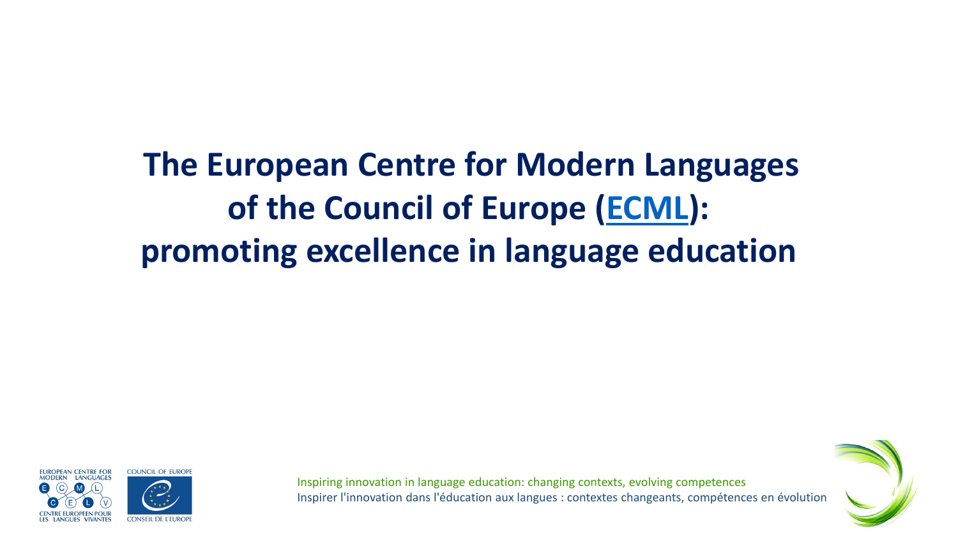# **The European Centre for Modern Languages of the Council of Europe [\(ECML](http://www.ecml.at/)): promoting excellence in language education**





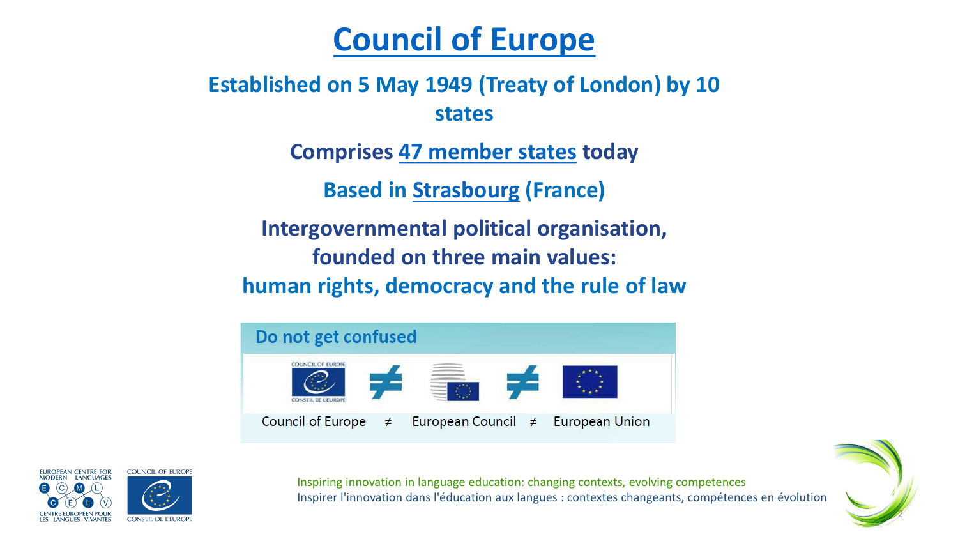#### **[Council of Europe](https://www.coe.int/en/web/portal)**

**Established on 5 May 1949 (Treaty of London) by 10 states** 

**Comprises [47 member states](#page-6-0) today**

**Based in Strasbourg (France)**

**Intergovernmental political organisation, founded on three main values: human rights, democracy and the rule of law** 





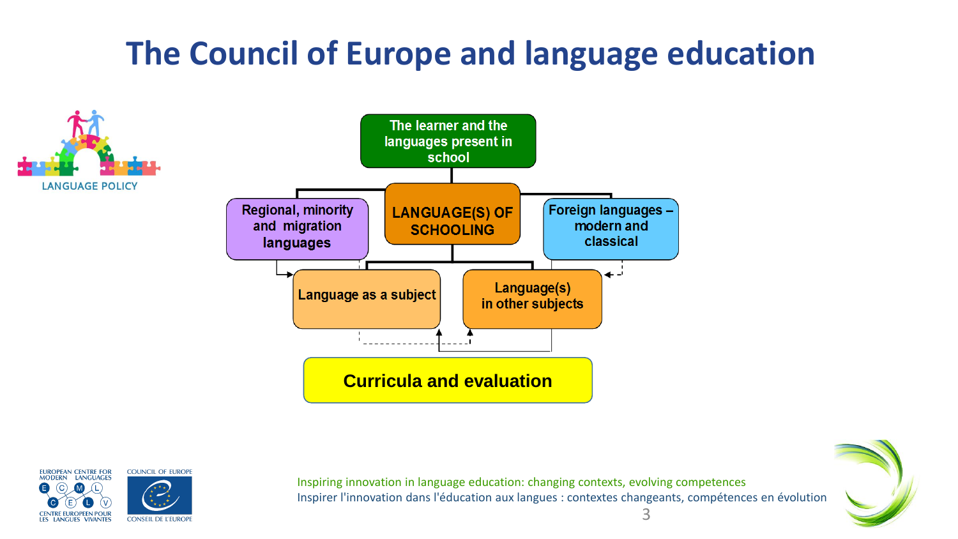### **The Council of Europe and language education**





Inspiring innovation in language education: changing contexts, evolving competences Inspirer l'innovation dans l'éducation aux langues : contextes changeants, compétences en évolution

3

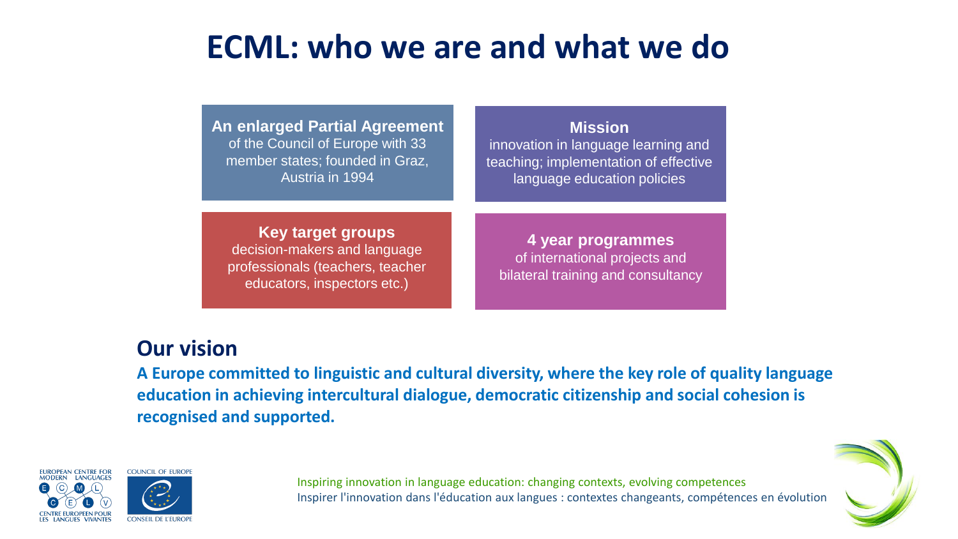#### **ECML: who we are and what we do**

**An enlarged Partial Agreement**  of the Council of Europe with 33 member states; founded in Graz, Austria in 1994

#### **Mission**  innovation in language learning and

teaching; implementation of effective language education policies

**Key target groups**  decision-makers and language professionals (teachers, teacher educators, inspectors etc.)

**4 year programmes** of international projects and bilateral training and consultancy

#### **Our vision**

**A Europe committed to linguistic and cultural diversity, where the key role of quality language education in achieving intercultural dialogue, democratic citizenship and social cohesion is recognised and supported.**





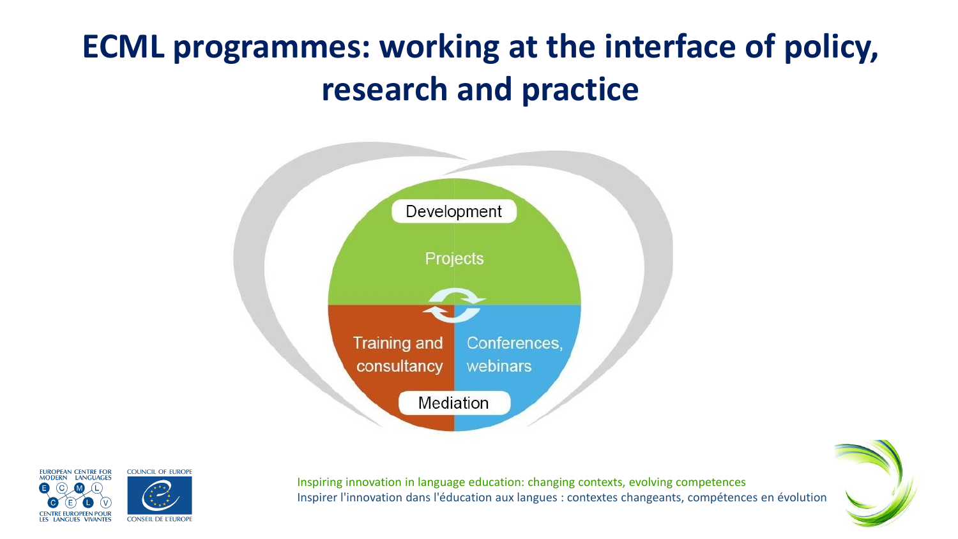# **ECML programmes: working at the interface of policy, research and practice**





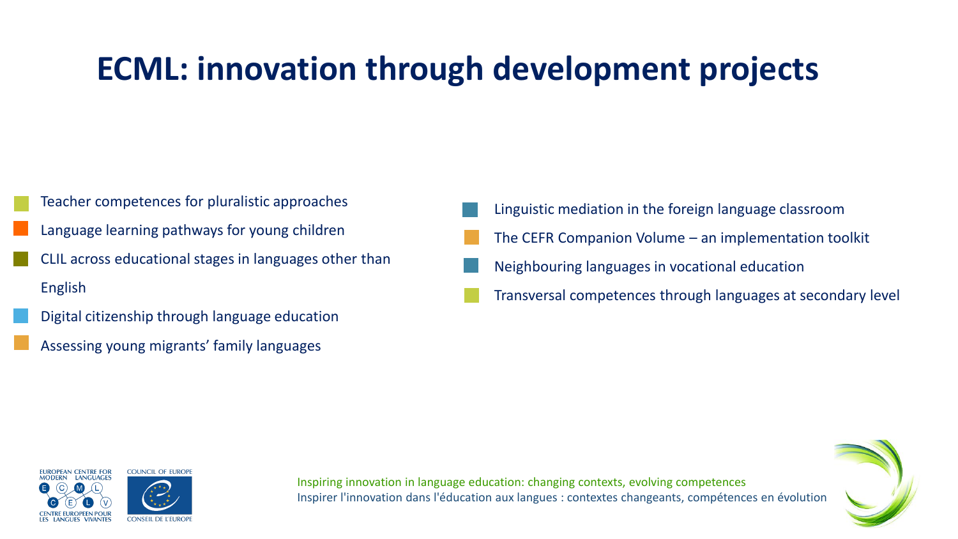#### **ECML: innovation through development projects**

- Teacher competences for pluralistic approaches
- Language learning pathways for young children
- CLIL across educational stages in languages other than English
- Digital citizenship through language education
- Assessing young migrants' family languages
- Linguistic mediation in the foreign language classroom
- The CEFR Companion Volume an implementation toolkit
- Neighbouring languages in vocational education
- Transversal competences through languages at secondary level





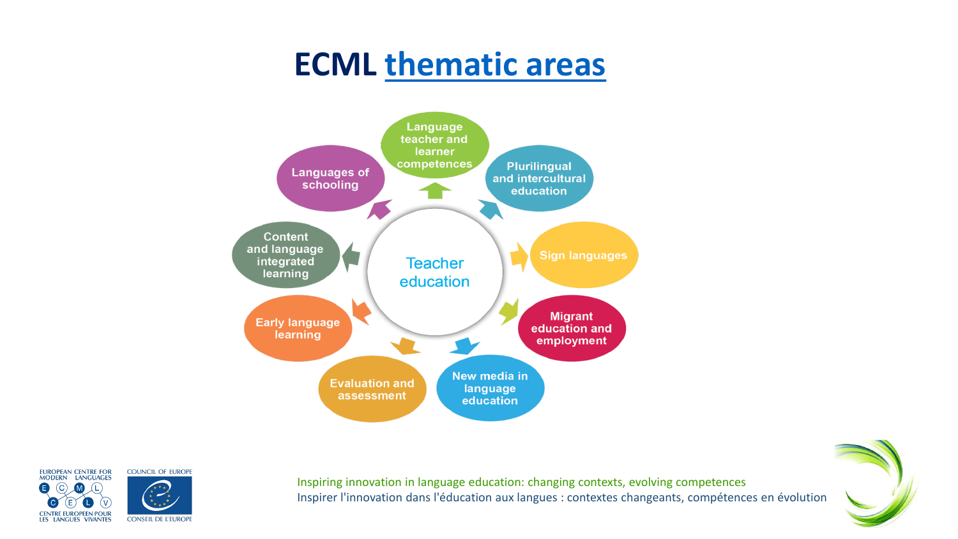#### **ECML [thematic areas](https://www.ecml.at/Thematicareas/Thematicareas-Overview/tabid/1763/language/en-GB/Default.aspx)**

<span id="page-6-0"></span>



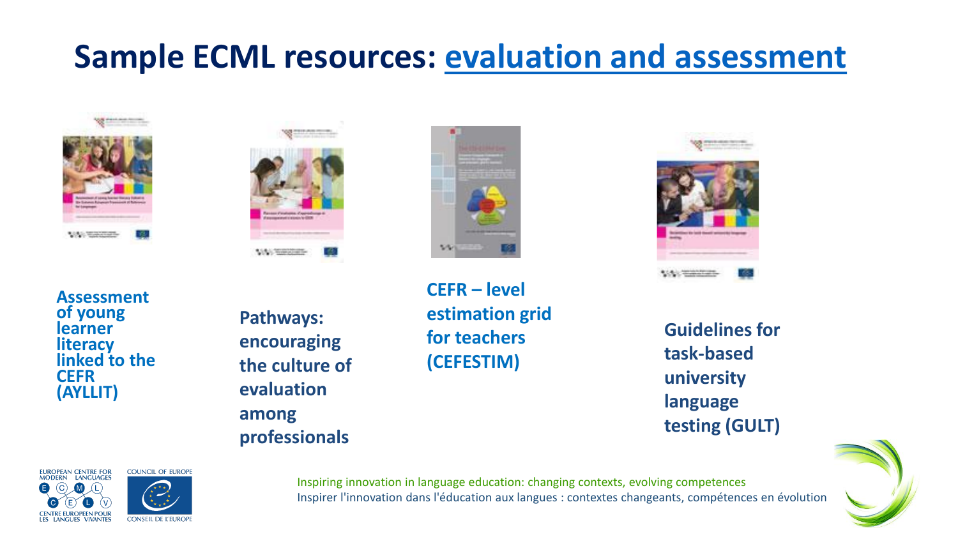#### **Sample ECML resources: evaluation [and assessment](https://www.ecml.at/Thematicareas/EvaluationandAssessment/tabid/1628/language/en-GB/Default.aspx)**





**Assessment of young learner literacy linked to the CEFR (AYLLIT)**

**Pathways: encouraging the culture of evaluation among professionals**







**Guidelines for task-based university language testing (GULT)**







Inspiring innovation in language education: changing contexts, evolving competences Inspirer l'innovation dans l'éducation aux langues : contextes changeants, compétences en évolution

**CEFR – level for teachers**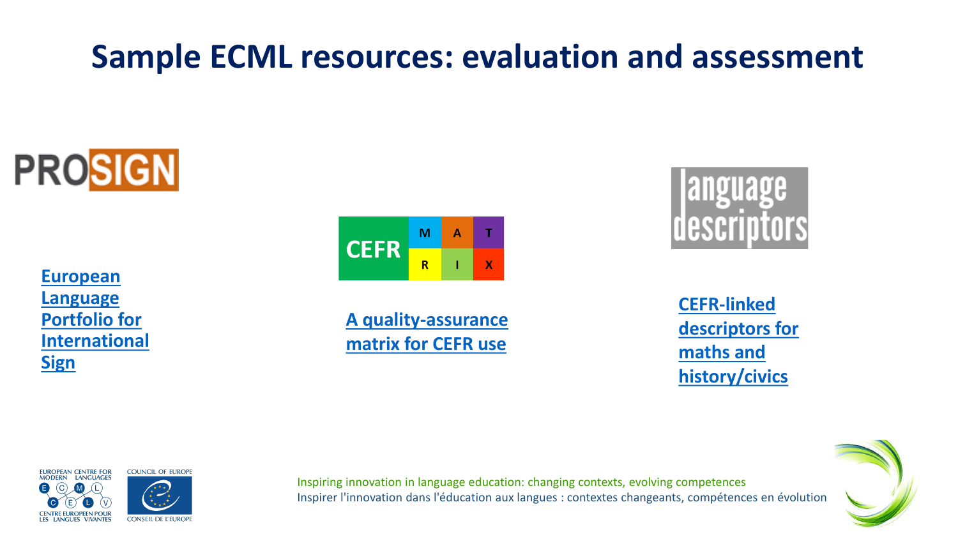#### **Sample ECML resources: evaluation and assessment**



**European Language Portfolio for [International](https://www.ecml.at/Thematicareas/SignedLanguages/ProSign/tabid/4273/Default.aspx)  Sign** 

#### M A **CEFR**  $\mathbf{X}$  $\mathsf{R}$

**[A quality-assurance](https://www.ecml.at/ECML-Programme/Programme2016-2019/QualityassuranceandimplementationoftheCEFR/tabid/1870/language/en-GB/Default.aspx)  matrix for CEFR use**



**CEFR-linked [descriptors for](https://www.ecml.at/ECML-Programme/Programme2016-2019/languageinsubjects/tabid/1854/language/en-GB/Default.aspx)  maths and history/civics**





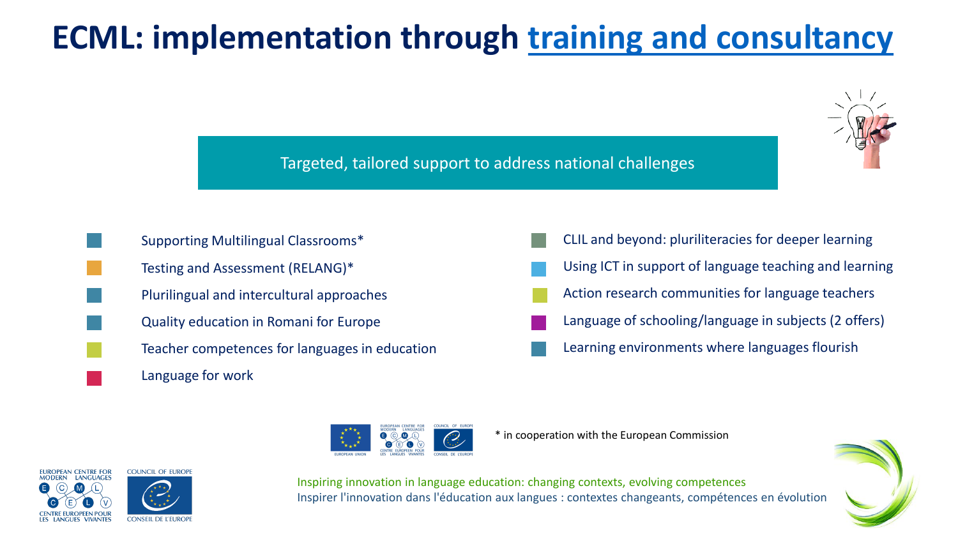### **ECML: implementation through [training and consultancy](https://www.ecml.at/TrainingConsultancy/TrainingConsultancy-Overview/tabid/1764/language/en-GB/Default.aspx)**

Targeted, tailored support to address national challenges

Inspiring innovation in language education: changing contexts, evolving competences



Supporting Multilingual Classrooms\* Testing and Assessment (RELANG)\* Plurilingual and intercultural approaches Quality education in Romani for Europe Teacher competences for languages in education

Language for work

CLIL and beyond: pluriliteracies for deeper learning Using ICT in support of language teaching and learning Action research communities for language teachers Language of schooling/language in subjects (2 offers) Learning environments where languages flourish



\* in cooperation with the European Commission